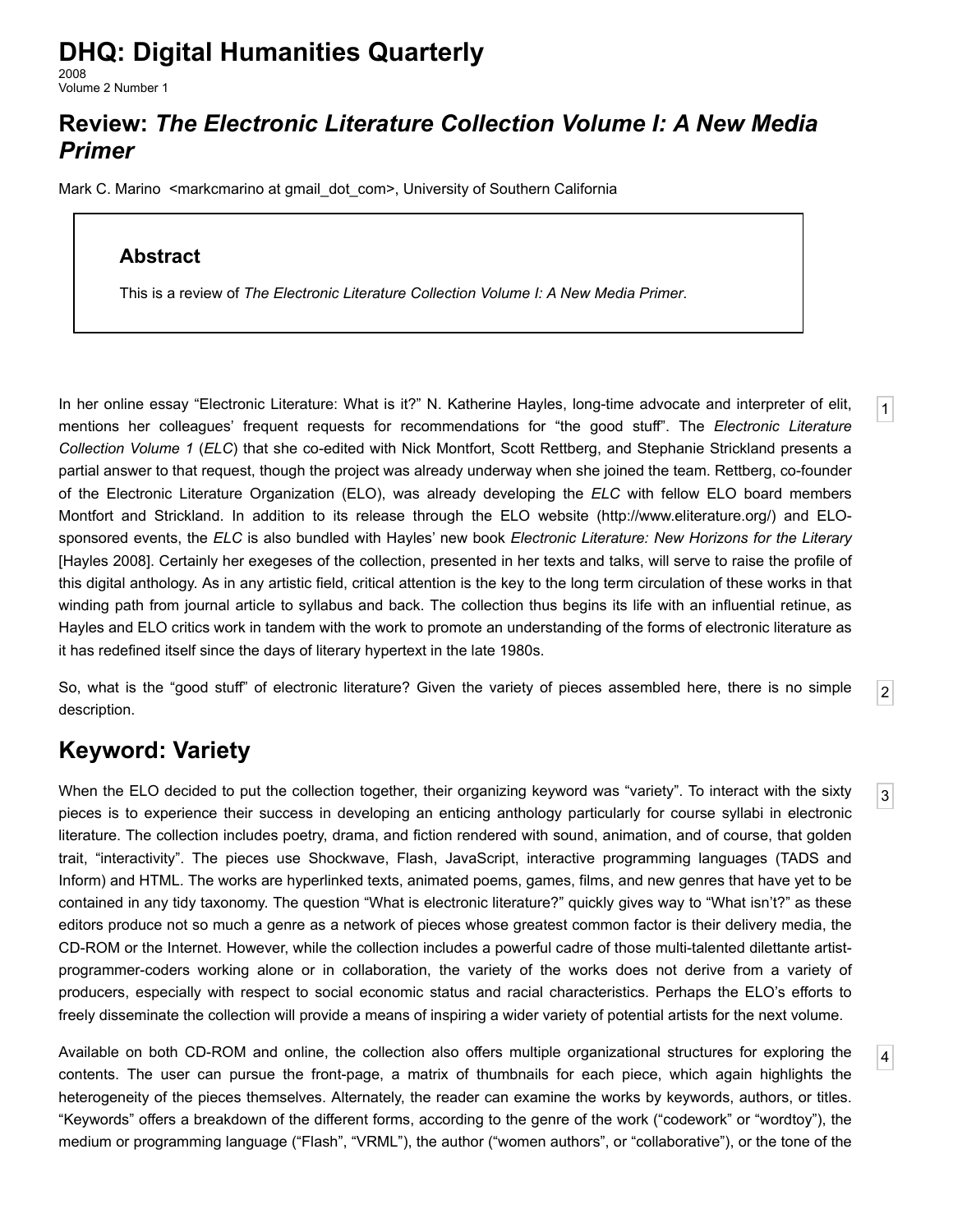# **DHQ: Digital Humanities Quarterly**

2008 Volume 2 Number 1

### **Review:** *The Electronic Literature Collection Volume I: A New Media Primer*

[Mark C. Marino](http://www.digitalhumanities.org/dhq/vol/2/1/bios.html#marino_mark_c.) [<markcmarino at gmail\\_dot\\_com](mailto:markcmarino%20at%20gmail_dot_com)>, University of Southern California

#### **Abstract**

This is a review of *The Electronic Literature Collection Volume I: A New Media Primer*.

<span id="page-0-2"></span>In her online essay "Electronic Literature: What is it?" N. Katherine Hayles, long-time advocate and interpreter of elit, mentions her colleagues' frequent requests for recommendations for "the good stuff". The *Electronic Literature Collection Volume 1* (*ELC*) that she co-edited with Nick Montfort, Scott Rettberg, and Stephanie Strickland presents a partial answer to that request, though the project was already underway when she joined the team. Rettberg, co-founder of the Electronic Literature Organization (ELO), was already developing the *ELC* with fellow ELO board members Montfort and Strickland. In addition to its release through the ELO website ([http://www.eliterature.org/\)](http://www.eliterature.org/) and ELOsponsored events, the *ELC* is also bundled with Hayles' new book *Electronic Literature: New Horizons for the Literary* [\[Hayles 2008](#page-4-0)]. Certainly her exegeses of the collection, presented in her texts and talks, will serve to raise the profile of this digital anthology. As in any artistic field, critical attention is the key to the long term circulation of these works in that winding path from journal article to syllabus and back. The collection thus begins its life with an influential retinue, as Hayles and ELO critics work in tandem with the work to promote an understanding of the forms of electronic literature as it has redefined itself since the days of literary hypertext in the late 1980s.

<span id="page-0-3"></span>So, what is the "good stuff" of electronic literature? Given the variety of pieces assembled here, there is no simple description.

[3](#page-0-0)

[2](#page-0-3)

[1](#page-0-2)

[4](#page-0-1)

## **Keyword: Variety**

<span id="page-0-0"></span>When the ELO decided to put the collection together, their organizing keyword was "variety". To interact with the sixty pieces is to experience their success in developing an enticing anthology particularly for course syllabi in electronic literature. The collection includes poetry, drama, and fiction rendered with sound, animation, and of course, that golden trait, "interactivity". The pieces use Shockwave, Flash, JavaScript, interactive programming languages (TADS and Inform) and HTML. The works are hyperlinked texts, animated poems, games, films, and new genres that have yet to be contained in any tidy taxonomy. The question "What is electronic literature?" quickly gives way to "What isn't?" as these editors produce not so much a genre as a network of pieces whose greatest common factor is their delivery media, the CD-ROM or the Internet. However, while the collection includes a powerful cadre of those multi-talented dilettante artistprogrammer-coders working alone or in collaboration, the variety of the works does not derive from a variety of producers, especially with respect to social economic status and racial characteristics. Perhaps the ELO's efforts to freely disseminate the collection will provide a means of inspiring a wider variety of potential artists for the next volume.

<span id="page-0-1"></span>Available on both CD-ROM and online, the collection also offers multiple organizational structures for exploring the contents. The user can pursue the front-page, a matrix of thumbnails for each piece, which again highlights the heterogeneity of the pieces themselves. Alternately, the reader can examine the works by keywords, authors, or titles. "Keywords" offers a breakdown of the different forms, according to the genre of the work ("codework" or "wordtoy"), the medium or programming language ("Flash", "VRML"), the author ("women authors", or "collaborative"), or the tone of the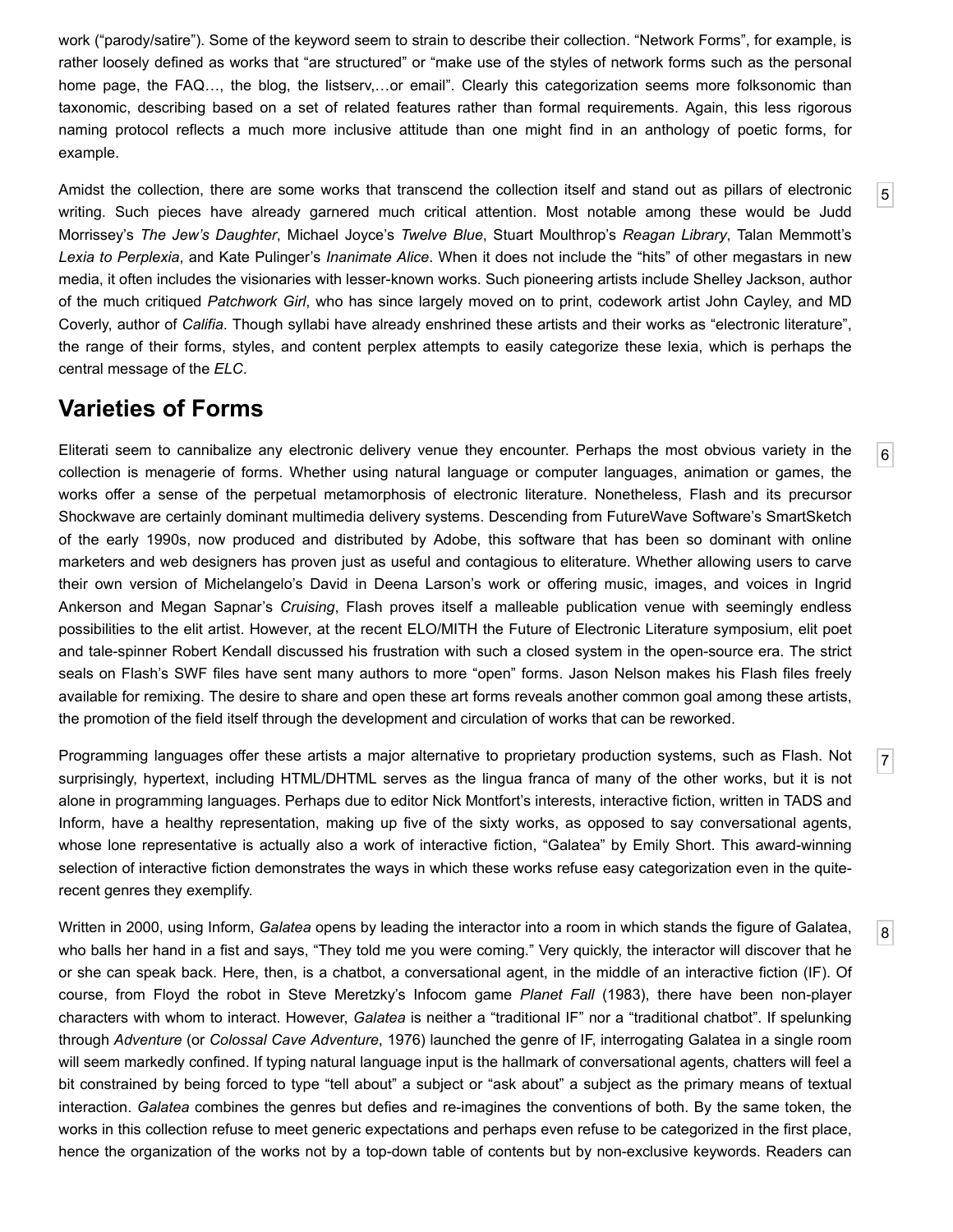work ("parody/satire"). Some of the keyword seem to strain to describe their collection. "Network Forms", for example, is rather loosely defined as works that "are structured" or "make use of the styles of network forms such as the personal home page, the FAQ..., the blog, the listserv,...or email". Clearly this categorization seems more folksonomic than taxonomic, describing based on a set of related features rather than formal requirements. Again, this less rigorous naming protocol reflects a much more inclusive attitude than one might find in an anthology of poetic forms, for example.

<span id="page-1-0"></span>Amidst the collection, there are some works that transcend the collection itself and stand out as pillars of electronic writing. Such pieces have already garnered much critical attention. Most notable among these would be Judd Morrissey's *The Jew's Daughter*, Michael Joyce's *Twelve Blue*, Stuart Moulthrop's *Reagan Library*, Talan Memmott's *Lexia to Perplexia*, and Kate Pulinger's *Inanimate Alice*. When it does not include the "hits" of other megastars in new media, it often includes the visionaries with lesser-known works. Such pioneering artists include Shelley Jackson, author of the much critiqued *Patchwork Girl*, who has since largely moved on to print, codework artist John Cayley, and MD Coverly, author of *Califia*. Though syllabi have already enshrined these artists and their works as "electronic literature", the range of their forms, styles, and content perplex attempts to easily categorize these lexia, which is perhaps the central message of the *ELC*.

### **Varieties of Forms**

<span id="page-1-1"></span>Eliterati seem to cannibalize any electronic delivery venue they encounter. Perhaps the most obvious variety in the collection is menagerie of forms. Whether using natural language or computer languages, animation or games, the works offer a sense of the perpetual metamorphosis of electronic literature. Nonetheless, Flash and its precursor Shockwave are certainly dominant multimedia delivery systems. Descending from FutureWave Software's SmartSketch of the early 1990s, now produced and distributed by Adobe, this software that has been so dominant with online marketers and web designers has proven just as useful and contagious to eliterature. Whether allowing users to carve their own version of Michelangelo's David in Deena Larson's work or offering music, images, and voices in Ingrid Ankerson and Megan Sapnar's *Cruising*, Flash proves itself a malleable publication venue with seemingly endless possibilities to the elit artist. However, at the recent ELO/MITH the Future of Electronic Literature symposium, elit poet and tale-spinner Robert Kendall discussed his frustration with such a closed system in the open-source era. The strict seals on Flash's SWF files have sent many authors to more "open" forms. Jason Nelson makes his Flash files freely available for remixing. The desire to share and open these art forms reveals another common goal among these artists, the promotion of the field itself through the development and circulation of works that can be reworked.

<span id="page-1-2"></span>Programming languages offer these artists a major alternative to proprietary production systems, such as Flash. Not surprisingly, hypertext, including HTML/DHTML serves as the lingua franca of many of the other works, but it is not alone in programming languages. Perhaps due to editor Nick Montfort's interests, interactive fiction, written in TADS and Inform, have a healthy representation, making up five of the sixty works, as opposed to say conversational agents, whose lone representative is actually also a work of interactive fiction, "Galatea" by Emily Short. This award-winning selection of interactive fiction demonstrates the ways in which these works refuse easy categorization even in the quiterecent genres they exemplify.

<span id="page-1-3"></span>Written in 2000, using Inform, *Galatea* opens by leading the interactor into a room in which stands the figure of Galatea, who balls her hand in a fist and says, "They told me you were coming." Very quickly, the interactor will discover that he or she can speak back. Here, then, is a chatbot, a conversational agent, in the middle of an interactive fiction (IF). Of course, from Floyd the robot in Steve Meretzky's Infocom game *Planet Fall* (1983), there have been non-player characters with whom to interact. However, *Galatea* is neither a "traditional IF" nor a "traditional chatbot". If spelunking through *Adventure* (or *Colossal Cave Adventure*, 1976) launched the genre of IF, interrogating Galatea in a single room will seem markedly confined. If typing natural language input is the hallmark of conversational agents, chatters will feel a bit constrained by being forced to type "tell about" a subject or "ask about" a subject as the primary means of textual interaction. *Galatea* combines the genres but defies and re-imagines the conventions of both. By the same token, the works in this collection refuse to meet generic expectations and perhaps even refuse to be categorized in the first place, hence the organization of the works not by a top-down table of contents but by non-exclusive keywords. Readers can

[5](#page-1-0)

[6](#page-1-1)

[7](#page-1-2)

[8](#page-1-3)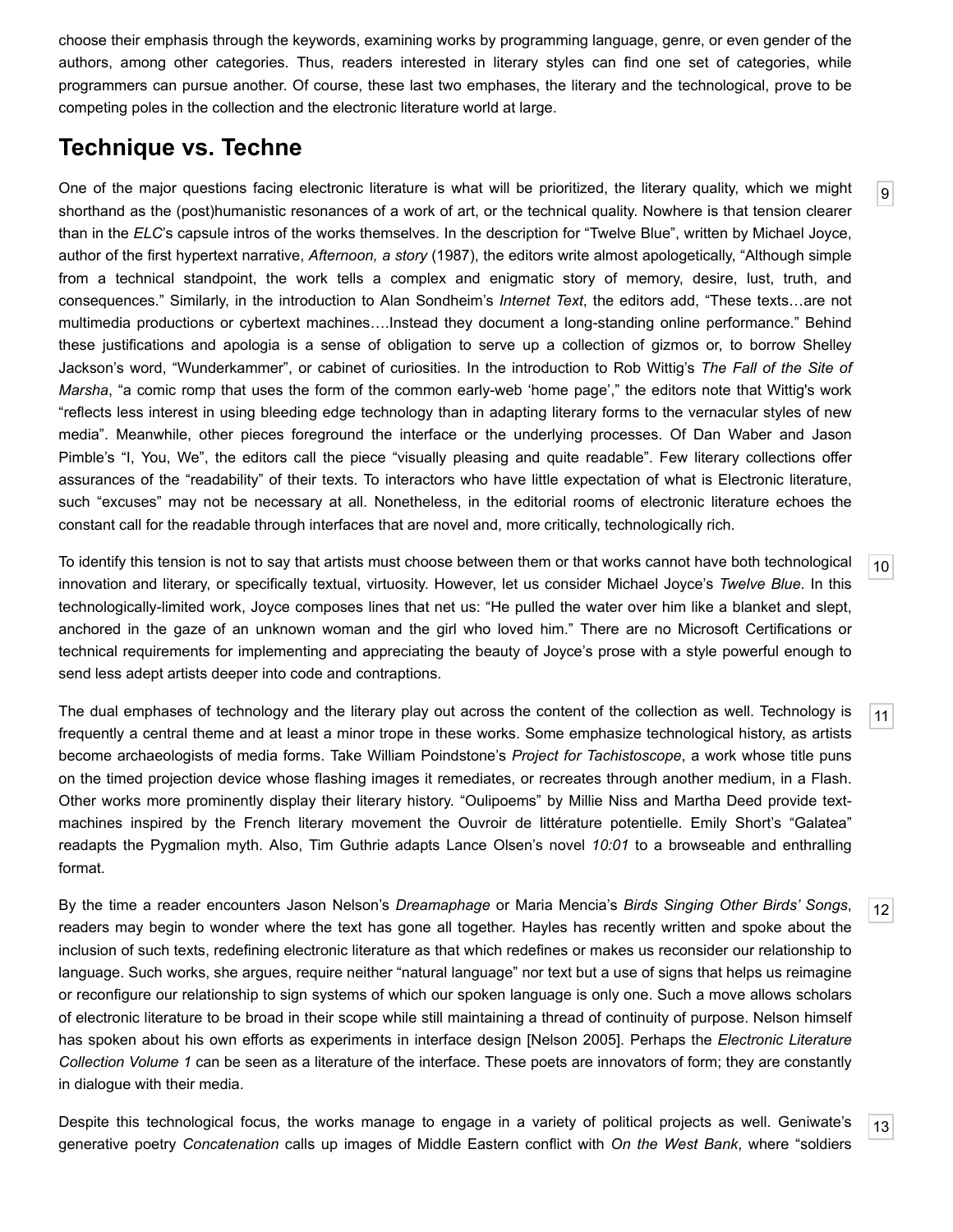choose their emphasis through the keywords, examining works by programming language, genre, or even gender of the authors, among other categories. Thus, readers interested in literary styles can find one set of categories, while programmers can pursue another. Of course, these last two emphases, the literary and the technological, prove to be competing poles in the collection and the electronic literature world at large.

### **Technique vs. Techne**

<span id="page-2-0"></span>One of the major questions facing electronic literature is what will be prioritized, the literary quality, which we might shorthand as the (post)humanistic resonances of a work of art, or the technical quality. Nowhere is that tension clearer than in the *ELC*'s capsule intros of the works themselves. In the description for "Twelve Blue", written by Michael Joyce, author of the first hypertext narrative, *Afternoon, a story* (1987), the editors write almost apologetically, "Although simple from a technical standpoint, the work tells a complex and enigmatic story of memory, desire, lust, truth, and consequences." Similarly, in the introduction to Alan Sondheim's *Internet Text*, the editors add, "These texts…are not multimedia productions or cybertext machines….Instead they document a long-standing online performance." Behind these justifications and apologia is a sense of obligation to serve up a collection of gizmos or, to borrow Shelley Jackson's word, "Wunderkammer", or cabinet of curiosities. In the introduction to Rob Wittig's *The Fall of the Site of Marsha*, "a comic romp that uses the form of the common early-web 'home page'," the editors note that Wittig's work "reflects less interest in using bleeding edge technology than in adapting literary forms to the vernacular styles of new media". Meanwhile, other pieces foreground the interface or the underlying processes. Of Dan Waber and Jason Pimble's "I, You, We", the editors call the piece "visually pleasing and quite readable". Few literary collections offer assurances of the "readability" of their texts. To interactors who have little expectation of what is Electronic literature, such "excuses" may not be necessary at all. Nonetheless, in the editorial rooms of electronic literature echoes the constant call for the readable through interfaces that are novel and, more critically, technologically rich.

<span id="page-2-1"></span>To identify this tension is not to say that artists must choose between them or that works cannot have both technological innovation and literary, or specifically textual, virtuosity. However, let us consider Michael Joyce's *Twelve Blue*. In this technologically-limited work, Joyce composes lines that net us: "He pulled the water over him like a blanket and slept, anchored in the gaze of an unknown woman and the girl who loved him." There are no Microsoft Certifications or technical requirements for implementing and appreciating the beauty of Joyce's prose with a style powerful enough to send less adept artists deeper into code and contraptions.

<span id="page-2-2"></span>The dual emphases of technology and the literary play out across the content of the collection as well. Technology is frequently a central theme and at least a minor trope in these works. Some emphasize technological history, as artists become archaeologists of media forms. Take William Poindstone's *Project for Tachistoscope*, a work whose title puns on the timed projection device whose flashing images it remediates, or recreates through another medium, in a Flash. Other works more prominently display their literary history. "Oulipoems" by Millie Niss and Martha Deed provide textmachines inspired by the French literary movement the Ouvroir de littérature potentielle. Emily Short's "Galatea" readapts the Pygmalion myth. Also, Tim Guthrie adapts Lance Olsen's novel *10:01* to a browseable and enthralling format.

<span id="page-2-3"></span>By the time a reader encounters Jason Nelson's *Dreamaphage* or Maria Mencia's *Birds Singing Other Birds' Songs*, readers may begin to wonder where the text has gone all together. Hayles has recently written and spoke about the inclusion of such texts, redefining electronic literature as that which redefines or makes us reconsider our relationship to language. Such works, she argues, require neither "natural language" nor text but a use of signs that helps us reimagine or reconfigure our relationship to sign systems of which our spoken language is only one. Such a move allows scholars of electronic literature to be broad in their scope while still maintaining a thread of continuity of purpose. Nelson himself has spoken about his own efforts as experiments in interface design [\[Nelson 2005](#page-4-1)]. Perhaps the *Electronic Literature Collection Volume 1* can be seen as a literature of the interface. These poets are innovators of form; they are constantly in dialogue with their media.

<span id="page-2-4"></span>Despite this technological focus, the works manage to engage in a variety of political projects as well. Geniwate's generative poetry *Concatenation* calls up images of Middle Eastern conflict with *On the West Bank*, where "soldiers

[9](#page-2-0)

[12](#page-2-3)

[13](#page-2-4)

[11](#page-2-2)

[10](#page-2-1)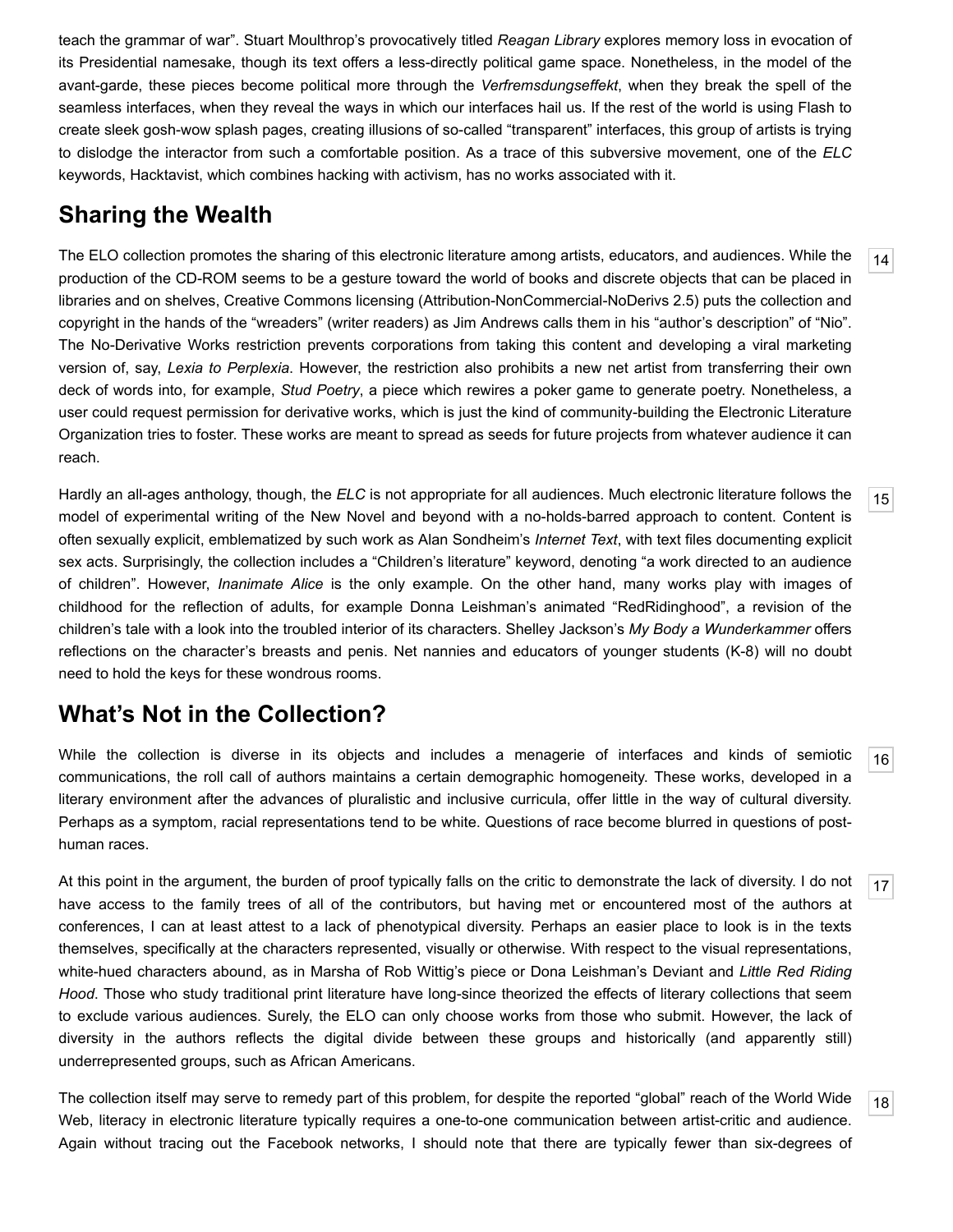teach the grammar of war". Stuart Moulthrop's provocatively titled *Reagan Library* explores memory loss in evocation of its Presidential namesake, though its text offers a less-directly political game space. Nonetheless, in the model of the avant-garde, these pieces become political more through the *Verfremsdungseffekt*, when they break the spell of the seamless interfaces, when they reveal the ways in which our interfaces hail us. If the rest of the world is using Flash to create sleek gosh-wow splash pages, creating illusions of so-called "transparent" interfaces, this group of artists is trying to dislodge the interactor from such a comfortable position. As a trace of this subversive movement, one of the *ELC* keywords, Hacktavist, which combines hacking with activism, has no works associated with it.

### **Sharing the Wealth**

<span id="page-3-0"></span>The ELO collection promotes the sharing of this electronic literature among artists, educators, and audiences. While the production of the CD-ROM seems to be a gesture toward the world of books and discrete objects that can be placed in libraries and on shelves, Creative Commons licensing (Attribution-NonCommercial-NoDerivs 2.5) puts the collection and copyright in the hands of the "wreaders" (writer readers) as Jim Andrews calls them in his "author's description" of "Nio". The No-Derivative Works restriction prevents corporations from taking this content and developing a viral marketing version of, say, *Lexia to Perplexia*. However, the restriction also prohibits a new net artist from transferring their own deck of words into, for example, *Stud Poetry*, a piece which rewires a poker game to generate poetry. Nonetheless, a user could request permission for derivative works, which is just the kind of community-building the Electronic Literature Organization tries to foster. These works are meant to spread as seeds for future projects from whatever audience it can reach.

<span id="page-3-1"></span>Hardly an all-ages anthology, though, the *ELC* is not appropriate for all audiences. Much electronic literature follows the model of experimental writing of the New Novel and beyond with a no-holds-barred approach to content. Content is often sexually explicit, emblematized by such work as Alan Sondheim's *Internet Text*, with text files documenting explicit sex acts. Surprisingly, the collection includes a "Children's literature" keyword, denoting "a work directed to an audience of children". However, *Inanimate Alice* is the only example. On the other hand, many works play with images of childhood for the reflection of adults, for example Donna Leishman's animated "RedRidinghood", a revision of the children's tale with a look into the troubled interior of its characters. Shelley Jackson's *My Body a Wunderkammer* offers reflections on the character's breasts and penis. Net nannies and educators of younger students (K-8) will no doubt need to hold the keys for these wondrous rooms.

### **What's Not in the Collection?**

<span id="page-3-2"></span>While the collection is diverse in its objects and includes a menagerie of interfaces and kinds of semiotic communications, the roll call of authors maintains a certain demographic homogeneity. These works, developed in a literary environment after the advances of pluralistic and inclusive curricula, offer little in the way of cultural diversity. Perhaps as a symptom, racial representations tend to be white. Questions of race become blurred in questions of posthuman races.

<span id="page-3-3"></span>At this point in the argument, the burden of proof typically falls on the critic to demonstrate the lack of diversity. I do not have access to the family trees of all of the contributors, but having met or encountered most of the authors at conferences, I can at least attest to a lack of phenotypical diversity. Perhaps an easier place to look is in the texts themselves, specifically at the characters represented, visually or otherwise. With respect to the visual representations, white-hued characters abound, as in Marsha of Rob Wittig's piece or Dona Leishman's Deviant and *Little Red Riding Hood*. Those who study traditional print literature have long-since theorized the effects of literary collections that seem to exclude various audiences. Surely, the ELO can only choose works from those who submit. However, the lack of diversity in the authors reflects the digital divide between these groups and historically (and apparently still) underrepresented groups, such as African Americans.

<span id="page-3-4"></span>[18](#page-3-4) The collection itself may serve to remedy part of this problem, for despite the reported "global" reach of the World Wide Web, literacy in electronic literature typically requires a one-to-one communication between artist-critic and audience. Again without tracing out the Facebook networks, I should note that there are typically fewer than six-degrees of

[16](#page-3-2)

[17](#page-3-3)

[14](#page-3-0)

[15](#page-3-1)